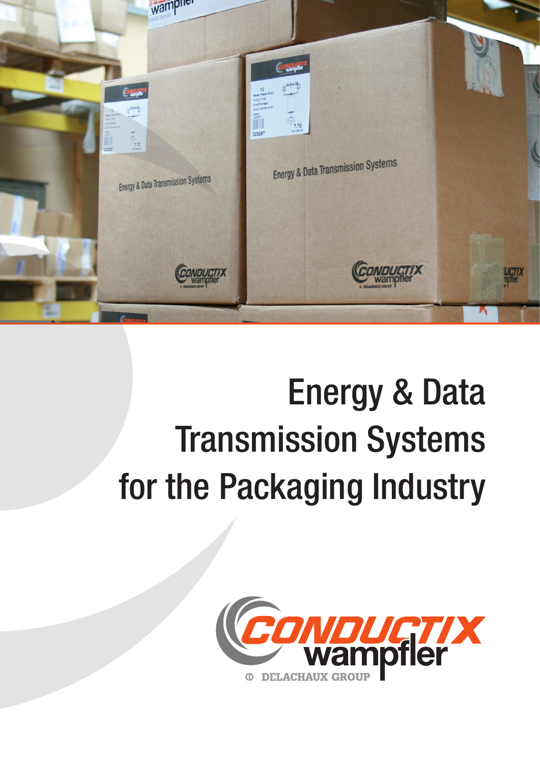

# Energy & Data Transmission Systems for the Packaging Industry

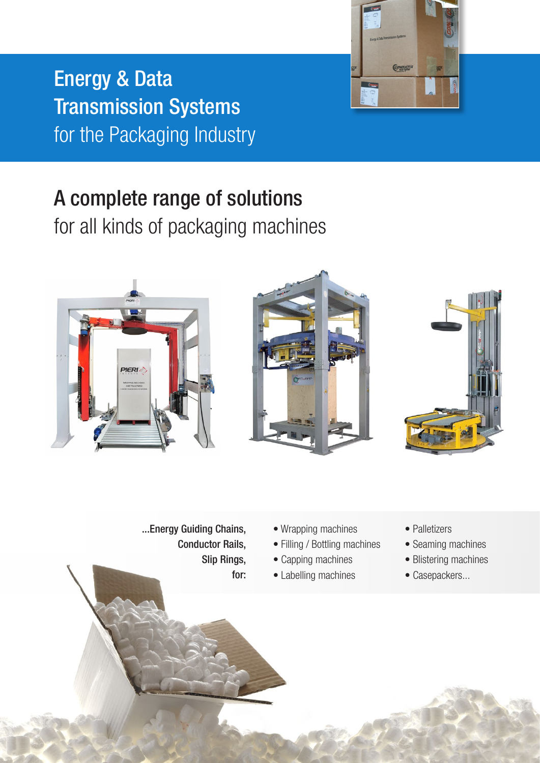

Energy & Data Transmission Systems for the Packaging Industry

## A complete range of solutions

for all kinds of packaging machines



...Energy Guiding Chains, Conductor Rails, Slip Rings, for:

- Wrapping machines
- Filling / Bottling machines
- Capping machines
- Labelling machines
- Palletizers
- Seaming machines
- Blistering machines
- Casepackers...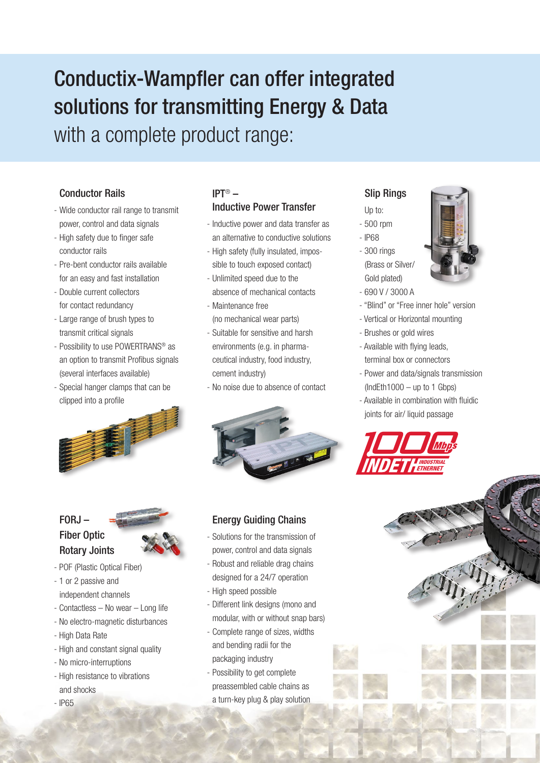### Conductix-Wampfler can offer integrated solutions for transmitting Energy & Data with a complete product range:

#### Conductor Rails

- Wide conductor rail range to transmit power, control and data signals
- High safety due to finger safe conductor rails
- Pre-bent conductor rails available for an easy and fast installation
- Double current collectors for contact redundancy
- Large range of brush types to transmit critical signals
- Possibility to use POWERTRANS® as an option to transmit Profibus signals (several interfaces available)
- Special hanger clamps that can be clipped into a profile



#### FORJ – Fiber Optic Rotary Joints



- POF (Plastic Optical Fiber)
- 1 or 2 passive and independent channels
- Contactless No wear Long life
- No electro-magnetic disturbances
- High Data Rate
- High and constant signal quality
- No micro-interruptions
- High resistance to vibrations and shocks
- IP65

#### IPT® – Inductive Power Transfer

- Inductive power and data transfer as an alternative to conductive solutions
- High safety (fully insulated, impossible to touch exposed contact)
- Unlimited speed due to the absence of mechanical contacts
- Maintenance free (no mechanical wear parts)
- Suitable for sensitive and harsh environments (e.g. in pharmaceutical industry, food industry, cement industry)
- No noise due to absence of contact



#### Energy Guiding Chains

- Solutions for the transmission of power, control and data signals
- Robust and reliable drag chains designed for a 24/7 operation
- High speed possible
- Different link designs (mono and modular, with or without snap bars)
- Complete range of sizes, widths and bending radii for the packaging industry
- Possibility to get complete preassembled cable chains as a turn-key plug & play solution

#### Slip Rings

#### Up to:

- 500 rpm
- IP68
- 300 rings (Brass or Silver/ Gold plated)
- 690 V / 3000 A
- "Blind" or "Free inner hole" version
- Vertical or Horizontal mounting
- Brushes or gold wires
- Available with flying leads, terminal box or connectors
- Power and data/signals transmission  $(IndEth1000 - up to 1 Gbps)$
- Available in combination with fluidic joints for air/ liquid passage